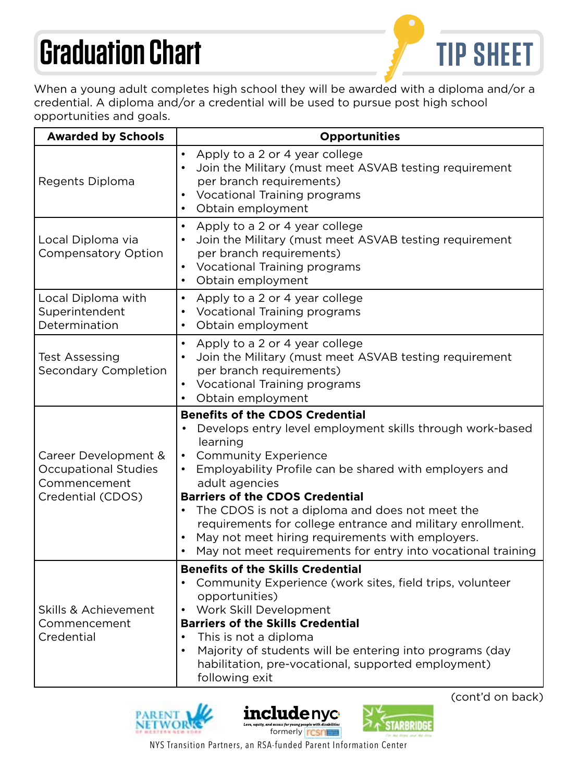# **Graduation Chart Service Chart Service Service Chart Service Service Chart Service Chart Service Chart Service Chart Service Chart Service Chart Service Chart Service Chart Service Chart Service Chart Service Chart Servic**



When a young adult completes high school they will be awarded with a diploma and/or a credential. A diploma and/or a credential will be used to pursue post high school opportunities and goals.

| <b>Awarded by Schools</b>                                                                | <b>Opportunities</b>                                                                                                                                                                                                                                                                                                                                                                                                                                                                                                                |
|------------------------------------------------------------------------------------------|-------------------------------------------------------------------------------------------------------------------------------------------------------------------------------------------------------------------------------------------------------------------------------------------------------------------------------------------------------------------------------------------------------------------------------------------------------------------------------------------------------------------------------------|
| Regents Diploma                                                                          | Apply to a 2 or 4 year college<br>Join the Military (must meet ASVAB testing requirement<br>per branch requirements)<br>• Vocational Training programs<br>Obtain employment<br>$\bullet$                                                                                                                                                                                                                                                                                                                                            |
| Local Diploma via<br><b>Compensatory Option</b>                                          | Apply to a 2 or 4 year college<br>$\bullet$<br>Join the Military (must meet ASVAB testing requirement<br>$\bullet$<br>per branch requirements)<br><b>Vocational Training programs</b><br>Obtain employment<br>$\bullet$                                                                                                                                                                                                                                                                                                             |
| Local Diploma with<br>Superintendent<br>Determination                                    | Apply to a 2 or 4 year college<br>$\bullet$<br><b>Vocational Training programs</b><br>Obtain employment<br>$\bullet$                                                                                                                                                                                                                                                                                                                                                                                                                |
| <b>Test Assessing</b><br><b>Secondary Completion</b>                                     | $\bullet$<br>Apply to a 2 or 4 year college<br>Join the Military (must meet ASVAB testing requirement<br>per branch requirements)<br><b>Vocational Training programs</b><br>Obtain employment                                                                                                                                                                                                                                                                                                                                       |
| Career Development &<br><b>Occupational Studies</b><br>Commencement<br>Credential (CDOS) | <b>Benefits of the CDOS Credential</b><br>Develops entry level employment skills through work-based<br>$\bullet$<br>learning<br><b>Community Experience</b><br>$\bullet$<br>Employability Profile can be shared with employers and<br>adult agencies<br><b>Barriers of the CDOS Credential</b><br>The CDOS is not a diploma and does not meet the<br>requirements for college entrance and military enrollment.<br>May not meet hiring requirements with employers.<br>May not meet requirements for entry into vocational training |
| <b>Skills &amp; Achievement</b><br>Commencement<br>Credential                            | <b>Benefits of the Skills Credential</b><br>Community Experience (work sites, field trips, volunteer<br>opportunities)<br>Work Skill Development<br>$\bullet$<br><b>Barriers of the Skills Credential</b><br>This is not a diploma<br>$\bullet$<br>Majority of students will be entering into programs (day<br>$\bullet$<br>habilitation, pre-vocational, supported employment)<br>following exit                                                                                                                                   |





(cont'd on back)

NYS Transition Partners, an RSA-funded Parent Information Center